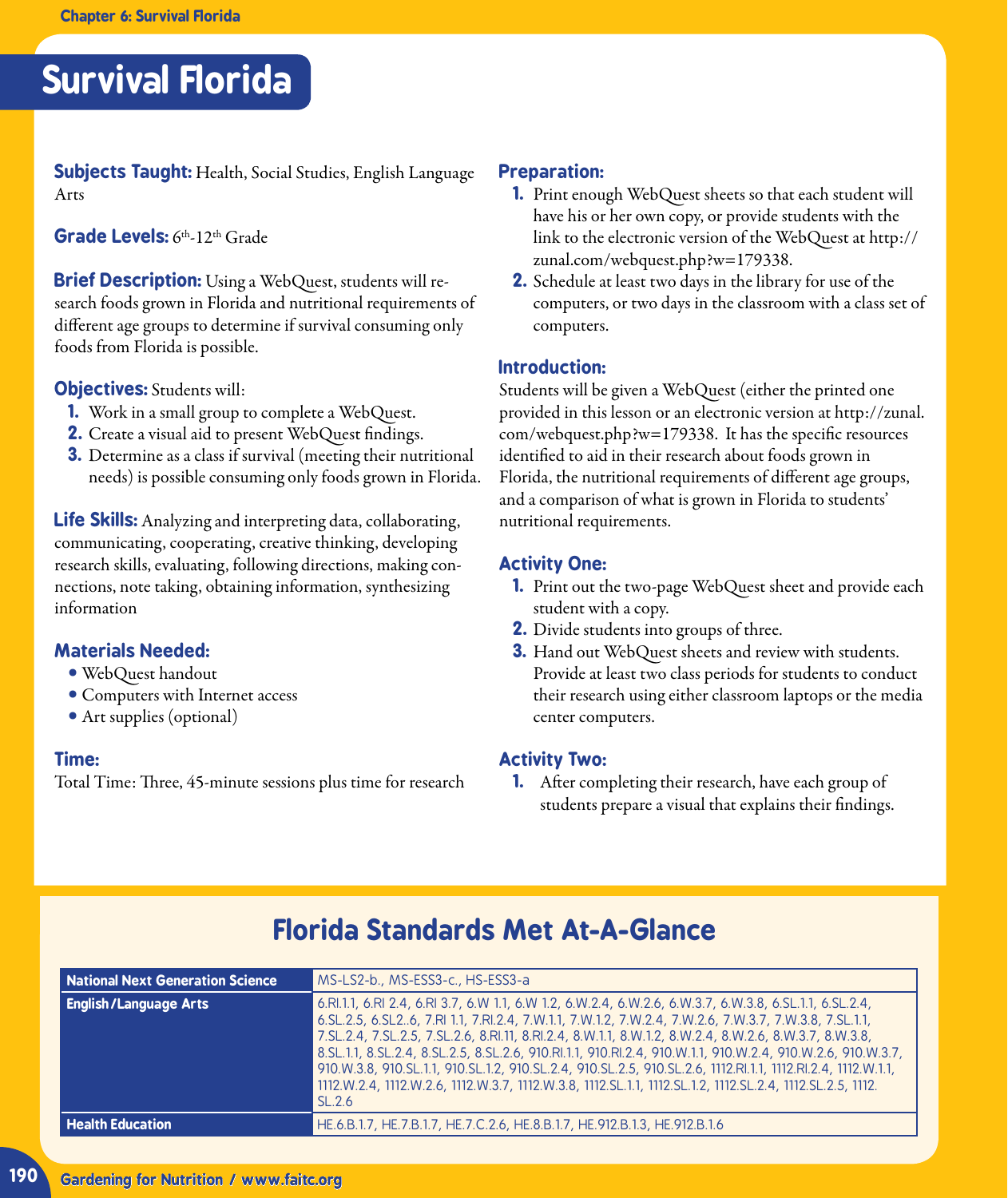## **Survival Florida**

**Subjects Taught:** Health, Social Studies, English Language Arts

**Grade Levels:** 6th-12th Grade

**Brief Description:** Using a WebQuest, students will research foods grown in Florida and nutritional requirements of diferent age groups to determine if survival consuming only foods from Florida is possible.

**Objectives:** Students will:

- **1.** Work in a small group to complete a WebQuest.
- **2.** Create a visual aid to present WebQuest findings.
- **3.** Determine as a class if survival (meeting their nutritional needs) is possible consuming only foods grown in Florida.

**Life Skills:** Analyzing and interpreting data, collaborating, communicating, cooperating, creative thinking, developing research skills, evaluating, following directions, making connections, note taking, obtaining information, synthesizing information

#### **Materials Needed:**

- **•** WebQuest handout
- **•** Computers with Internet access
- **•** Art supplies (optional)

#### **Time:**

Total Time: Three, 45-minute sessions plus time for research

#### **Preparation:**

- **1.** Print enough WebQuest sheets so that each student will have his or her own copy, or provide students with the link to the electronic version of the WebQuest at http:// zunal.com/webquest.php?w=179338.
- **2.** Schedule at least two days in the library for use of the computers, or two days in the classroom with a class set of computers.

#### **Introduction:**

Students will be given a WebQuest (either the printed one provided in this lesson or an electronic version at http://zunal. com/webquest.php?w=179338. It has the specific resources identified to aid in their research about foods grown in Florida, the nutritional requirements of diferent age groups, and a comparison of what is grown in Florida to students' nutritional requirements.

#### **Activity One:**

- **1.** Print out the two-page WebQuest sheet and provide each student with a copy.
- **2.** Divide students into groups of three.
- **3.** Hand out WebQuest sheets and review with students. Provide at least two class periods for students to conduct their research using either classroom laptops or the media center computers.

#### **Activity Two:**

**1.** After completing their research, have each group of students prepare a visual that explains their findings.

| National Next Generation Science | MS-LS2-b., MS-ESS3-c., HS-ESS3-a                                                                                                                                                                                                                                                                                                                                                                                                                                                                                                                                                                                                                                                                     |
|----------------------------------|------------------------------------------------------------------------------------------------------------------------------------------------------------------------------------------------------------------------------------------------------------------------------------------------------------------------------------------------------------------------------------------------------------------------------------------------------------------------------------------------------------------------------------------------------------------------------------------------------------------------------------------------------------------------------------------------------|
| <b>English/Language Arts</b>     | 6.RI.1.1, 6.RI 2.4, 6.RI 3.7, 6.W 1.1, 6.W 1.2, 6.W.2.4, 6.W.2.6, 6.W.3.7, 6.W.3.8, 6.SL.1.1, 6.SL.2.4,<br>6. SL. 2.5, 6. SL 26, 7. RI 1.1, 7. RI 2.4, 7. W. 1.1, 7. W. 1.2, 7. W. 2.4, 7. W. 2.6, 7. W. 3.7, 7. W. 3.8, 7. SL. 1.1,<br>7.SL.2.4, 7.SL.2.5, 7.SL.2.6, 8.RI.11, 8.RI.2.4, 8.W.1.1, 8.W.1.2, 8.W.2.4, 8.W.2.6, 8.W.3.7, 8.W.3.8,<br>8.SL.1.1, 8.SL.2.4, 8.SL.2.5, 8.SL.2.6, 910.RI.1.1, 910.RI.2.4, 910.W.1.1, 910.W.2.4, 910.W.2.6, 910.W.3.7,<br>910.W.3.8, 910.SL.1.1, 910.SL.1.2, 910.SL.2.4, 910.SL.2.5, 910.SL.2.6, 1112.RI.1.1, 1112.RI.2.4, 1112.W.1.1,<br>1112.W.2.4, 1112.W.2.6, 1112.W.3.7, 1112.W.3.8, 1112.SL.1.1, 1112.SL.1.2, 1112.SL.2.4, 1112.SL.2.5, 1112.<br>SL.2.6 |
| <b>Health Education</b>          | HE.6.B.1.7, HE.7.B.1.7, HE.7.C.2.6, HE.8.B.1.7, HE.912.B.1.3, HE.912.B.1.6                                                                                                                                                                                                                                                                                                                                                                                                                                                                                                                                                                                                                           |

### **Florida Standards Met At-A-Glance**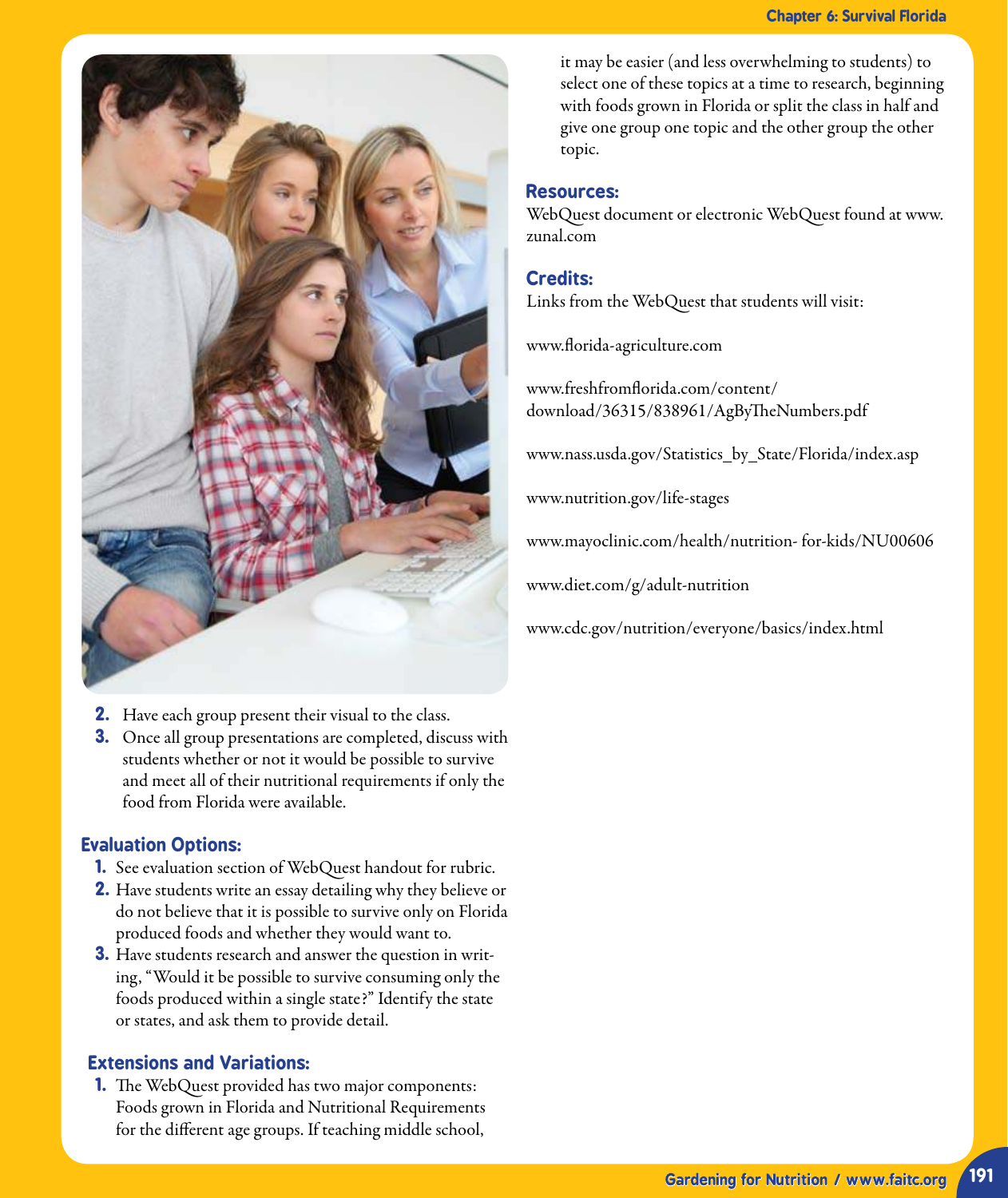

- **2.** Have each group present their visual to the class.
- **3.** Once all group presentations are completed, discuss with students whether or not it would be possible to survive and meet all of their nutritional requirements if only the food from Florida were available.

#### **Evaluation Options:**

- **1.** See evaluation section of WebQuest handout for rubric.
- **2.** Have students write an essay detailing why they believe or do not believe that it is possible to survive only on Florida produced foods and whether they would want to.
- **3.** Have students research and answer the question in writing, "Would it be possible to survive consuming only the foods produced within a single state?" Identify the state or states, and ask them to provide detail.

#### **Extensions and Variations:**

**1.** The WebQuest provided has two major components: Foods grown in Florida and Nutritional Requirements for the diferent age groups. If teaching middle school,

it may be easier (and less overwhelming to students) to select one of these topics at a time to research, beginning with foods grown in Florida or split the class in half and give one group one topic and the other group the other topic.

#### **Resources:**

WebQuest document or electronic WebQuest found at www. zunal.com

#### **Credits:**

Links from the WebQuest that students will visit:

www.lorida-agriculture.com

www.freshfromlorida.com/content/ download/36315/838961/AgByTheNumbers.pdf

www.nass.usda.gov/Statistics\_by\_State/Florida/index.asp

www.nutrition.gov/life-stages

www.mayoclinic.com/health/nutrition- for-kids/NU00606

www.diet.com/g/adult-nutrition

www.cdc.gov/nutrition/everyone/basics/index.html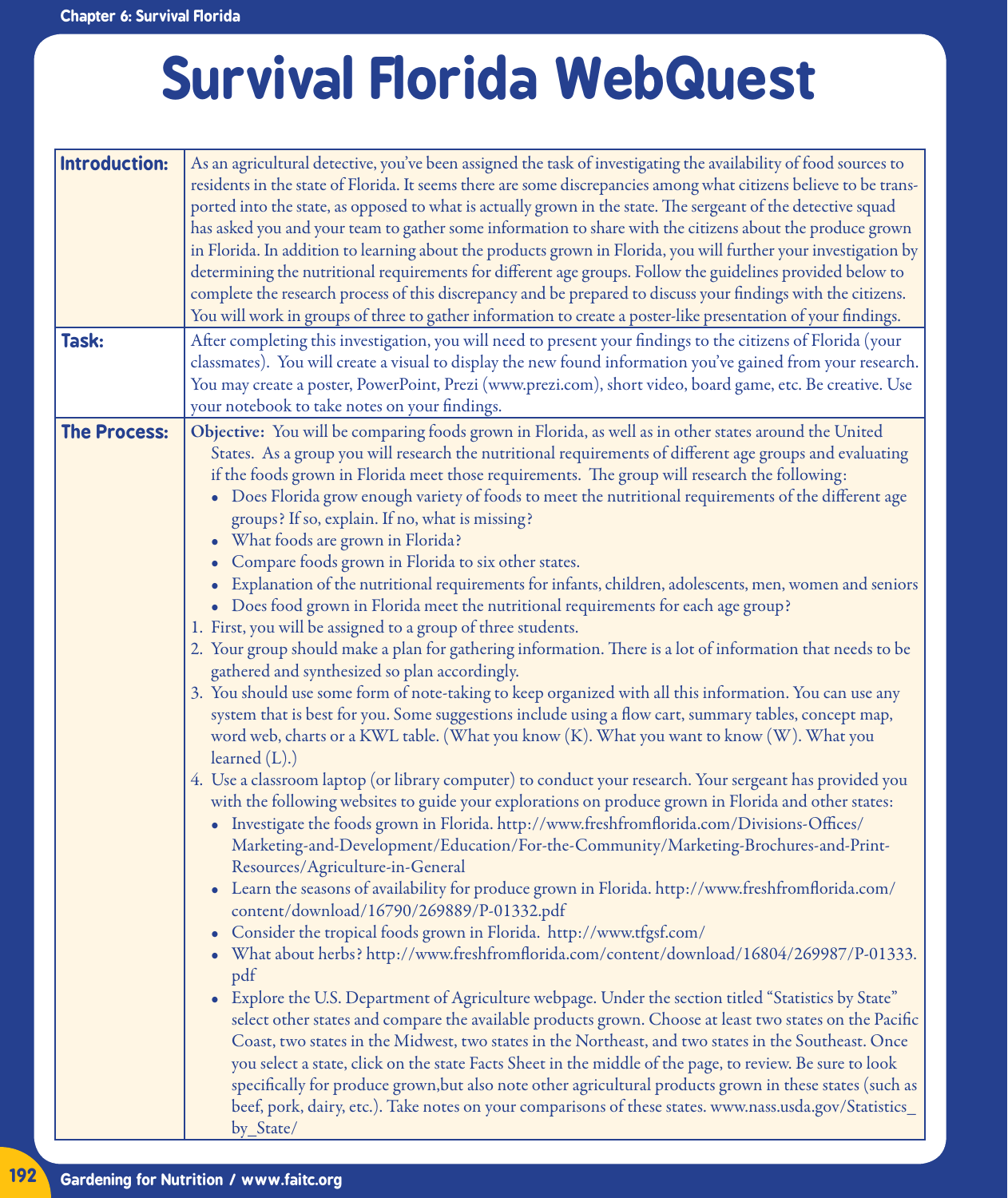## **Survival Florida WebQuest**

| Introduction:       | As an agricultural detective, you've been assigned the task of investigating the availability of food sources to<br>residents in the state of Florida. It seems there are some discrepancies among what citizens believe to be trans-<br>ported into the state, as opposed to what is actually grown in the state. The sergeant of the detective squad<br>has asked you and your team to gather some information to share with the citizens about the produce grown<br>in Florida. In addition to learning about the products grown in Florida, you will further your investigation by<br>determining the nutritional requirements for different age groups. Follow the guidelines provided below to<br>complete the research process of this discrepancy and be prepared to discuss your findings with the citizens.                                                                                                                                                                                                                                                                                                                                                                                                                                                                                                                                                                                                                                                                                                                                                                                                                                                                                                                                                                                                                                                                                                                                                                                                                                                                                                                                                                                                                                                                                                                                                                                                                                                                                                                                                     |
|---------------------|---------------------------------------------------------------------------------------------------------------------------------------------------------------------------------------------------------------------------------------------------------------------------------------------------------------------------------------------------------------------------------------------------------------------------------------------------------------------------------------------------------------------------------------------------------------------------------------------------------------------------------------------------------------------------------------------------------------------------------------------------------------------------------------------------------------------------------------------------------------------------------------------------------------------------------------------------------------------------------------------------------------------------------------------------------------------------------------------------------------------------------------------------------------------------------------------------------------------------------------------------------------------------------------------------------------------------------------------------------------------------------------------------------------------------------------------------------------------------------------------------------------------------------------------------------------------------------------------------------------------------------------------------------------------------------------------------------------------------------------------------------------------------------------------------------------------------------------------------------------------------------------------------------------------------------------------------------------------------------------------------------------------------------------------------------------------------------------------------------------------------------------------------------------------------------------------------------------------------------------------------------------------------------------------------------------------------------------------------------------------------------------------------------------------------------------------------------------------------------------------------------------------------------------------------------------------------|
|                     | You will work in groups of three to gather information to create a poster-like presentation of your findings.                                                                                                                                                                                                                                                                                                                                                                                                                                                                                                                                                                                                                                                                                                                                                                                                                                                                                                                                                                                                                                                                                                                                                                                                                                                                                                                                                                                                                                                                                                                                                                                                                                                                                                                                                                                                                                                                                                                                                                                                                                                                                                                                                                                                                                                                                                                                                                                                                                                             |
| Task:               | After completing this investigation, you will need to present your findings to the citizens of Florida (your<br>classmates). You will create a visual to display the new found information you've gained from your research.<br>You may create a poster, PowerPoint, Prezi (www.prezi.com), short video, board game, etc. Be creative. Use<br>your notebook to take notes on your findings.                                                                                                                                                                                                                                                                                                                                                                                                                                                                                                                                                                                                                                                                                                                                                                                                                                                                                                                                                                                                                                                                                                                                                                                                                                                                                                                                                                                                                                                                                                                                                                                                                                                                                                                                                                                                                                                                                                                                                                                                                                                                                                                                                                               |
| <b>The Process:</b> | Objective: You will be comparing foods grown in Florida, as well as in other states around the United<br>States. As a group you will research the nutritional requirements of different age groups and evaluating<br>if the foods grown in Florida meet those requirements. The group will research the following:<br>Does Florida grow enough variety of foods to meet the nutritional requirements of the different age<br>groups? If so, explain. If no, what is missing?<br>What foods are grown in Florida?<br>Compare foods grown in Florida to six other states.<br>Explanation of the nutritional requirements for infants, children, adolescents, men, women and seniors<br>• Does food grown in Florida meet the nutritional requirements for each age group?<br>1. First, you will be assigned to a group of three students.<br>2. Your group should make a plan for gathering information. There is a lot of information that needs to be<br>gathered and synthesized so plan accordingly.<br>3. You should use some form of note-taking to keep organized with all this information. You can use any<br>system that is best for you. Some suggestions include using a flow cart, summary tables, concept map,<br>word web, charts or a KWL table. (What you know (K). What you want to know (W). What you<br>learned $(L)$ .)<br>4. Use a classroom laptop (or library computer) to conduct your research. Your sergeant has provided you<br>with the following websites to guide your explorations on produce grown in Florida and other states:<br>• Investigate the foods grown in Florida. http://www.freshfromflorida.com/Divisions-Offices/<br>Marketing-and-Development/Education/For-the-Community/Marketing-Brochures-and-Print-<br>Resources/Agriculture-in-General<br>• Learn the seasons of availability for produce grown in Florida. http://www.freshfromflorida.com/<br>content/download/16790/269889/P-01332.pdf<br>Consider the tropical foods grown in Florida. http://www.tfgsf.com/<br>What about herbs? http://www.freshfromflorida.com/content/download/16804/269987/P-01333.<br>pdf<br>Explore the U.S. Department of Agriculture webpage. Under the section titled "Statistics by State"<br>$\bullet$<br>select other states and compare the available products grown. Choose at least two states on the Pacific<br>Coast, two states in the Midwest, two states in the Northeast, and two states in the Southeast. Once<br>you select a state, click on the state Facts Sheet in the middle of the page, to review. Be sure to look |
|                     | specifically for produce grown, but also note other agricultural products grown in these states (such as<br>beef, pork, dairy, etc.). Take notes on your comparisons of these states. www.nass.usda.gov/Statistics_<br>by State/                                                                                                                                                                                                                                                                                                                                                                                                                                                                                                                                                                                                                                                                                                                                                                                                                                                                                                                                                                                                                                                                                                                                                                                                                                                                                                                                                                                                                                                                                                                                                                                                                                                                                                                                                                                                                                                                                                                                                                                                                                                                                                                                                                                                                                                                                                                                          |